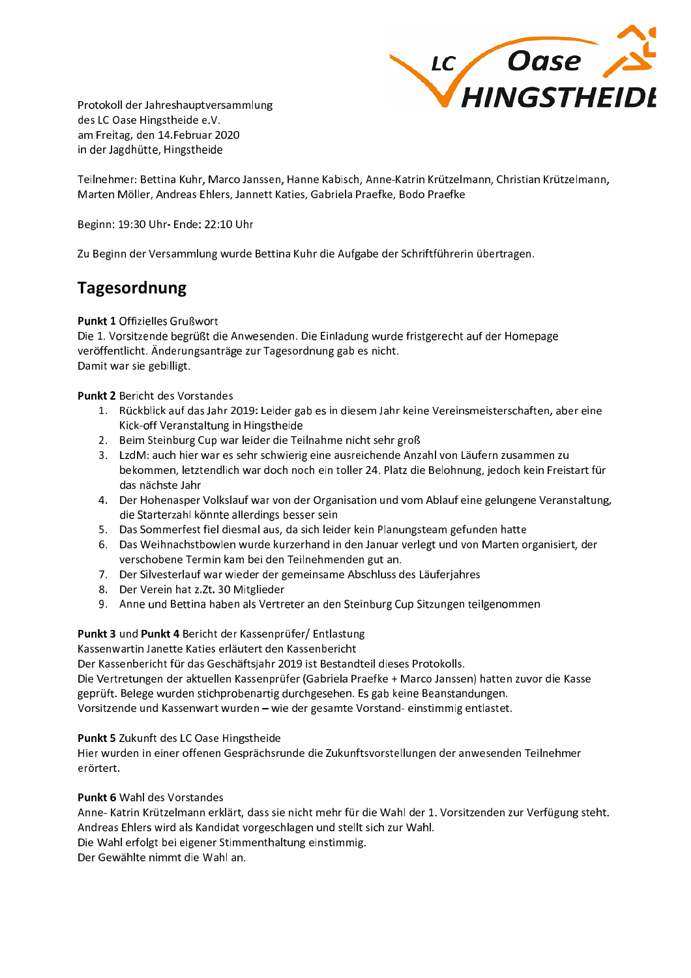

Protokoll der Jahreshauptversammlung des LC Oase Hingstheide e.V. am Freitag, den 14.Februar 2020 in der Jagdhütte. Hingstheide

Teilnehmer: Bettina Kuhr, Marco Janssen, Hanne Kabisch, Anne-Katrin Krützelmann, Christian Krützelmann, Marten Möller, Andreas Ehlers, Jannett Katies, Gabriela Praefke, Bodo Praefke

Beginn: 19:30 Uhr- Ende: 22:10 Uhr

Zu Beginn der Versammlung wurde Bettina Kuhr die Aufgabe der Schriftführerin übertragen.

# **Tagesordnung**

## **Punkt 1 Offizielles Grußwort**

Die 1. Vorsitzende begrüßt die Anwesenden. Die Einladung wurde fristgerecht auf der Homepage veröffentlicht. Änderungsanträge zur Tagesordnung gab es nicht. Damit war sie gebilligt.

## **Punkt 2 Bericht des Vorstandes**

- 1. Rückblick auf das Jahr 2019: Leider gab es in diesem Jahr keine Vereinsmeisterschaften, aber eine Kick-off Veranstaltung in Hingstheide
- 2. Beim Steinburg Cup war leider die Teilnahme nicht sehr groß
- 3. LzdM: auch hier war es sehr schwierig eine ausreichende Anzahl von Läufern zusammen zu bekommen, letztendlich war doch noch ein toller 24. Platz die Belohnung, jedoch kein Freistart für das nächste Jahr
- 4. Der Hohenasper Volkslauf war von der Organisation und vom Ablauf eine gelungene Veranstaltung, die Starterzahl könnte allerdings besser sein
- 5. Das Sommerfest fiel diesmal aus, da sich leider kein Planungsteam gefunden hatte
- 6. Das Weihnachstbowlen wurde kurzerhand in den Januar verlegt und von Marten organisiert, der verschobene Termin kam bei den Teilnehmenden gut an.
- 7. Der Silvesterlauf war wieder der gemeinsame Abschluss des Läuferjahres
- 8. Der Verein hat z.Zt. 30 Mitglieder
- 9. Anne und Bettina haben als Vertreter an den Steinburg Cup Sitzungen teilgenommen

## Punkt 3 und Punkt 4 Bericht der Kassenprüfer/ Entlastung

Kassenwartin Janette Katies erläutert den Kassenbericht

Der Kassenbericht für das Geschäftsjahr 2019 ist Bestandteil dieses Protokolls.

Die Vertretungen der aktuellen Kassenprüfer (Gabriela Praefke + Marco Janssen) hatten zuvor die Kasse geprüft. Belege wurden stichprobenartig durchgesehen. Es gab keine Beanstandungen.

Vorsitzende und Kassenwart wurden - wie der gesamte Vorstand- einstimmig entlastet.

## Punkt 5 Zukunft des LC Oase Hingstheide

Hier wurden in einer offenen Gesprächsrunde die Zukunftsvorstellungen der anwesenden Teilnehmer erörtert.

## **Punkt 6 Wahl des Vorstandes**

Anne-Katrin Krützelmann erklärt, dass sie nicht mehr für die Wahl der 1. Vorsitzenden zur Verfügung steht. Andreas Ehlers wird als Kandidat vorgeschlagen und stellt sich zur Wahl.

Die Wahl erfolgt bei eigener Stimmenthaltung einstimmig.

Der Gewählte nimmt die Wahl an.